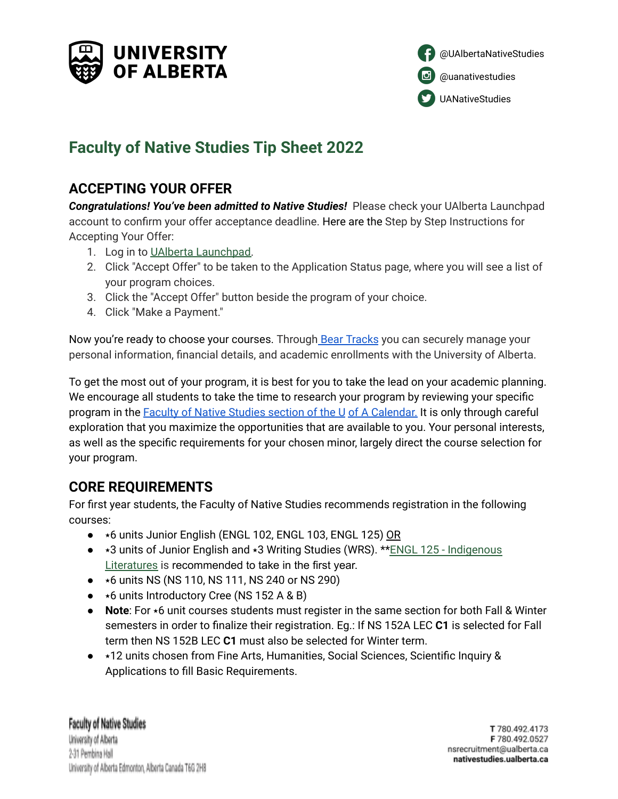



# **Faculty of Native Studies Tip Sheet 2022**

# **ACCEPTING YOUR OFFER**

*Congratulations! You've been admitted to Native Studies!* Please check your UAlberta Launchpad account to confirm your offer acceptance deadline. Here are the Step by Step Instructions for Accepting Your Offer:

- 1. Log in to UAlberta [Launchpad.](https://apply.ualberta.ca/portal/status)
- 2. Click "Accept Offer" to be taken to the Application Status page, where you will see a list of your program choices.
- 3. Click the "Accept Offer" button beside the program of your choice.
- 4. Click "Make a Payment."

Now you're ready to choose your courses. Through Bear [Tracks](https://www.ualberta.ca/registrar/registration-and-courses/bear-tracks-resources/index.html) you can securely manage your personal information, financial details, and academic enrollments with the University of Alberta.

To get the most out of your program, it is best for you to take the lead on your academic planning. We encourage all students to take the time to research your program by reviewing your specific program in the Faculty of Native Studies section of the U of A [Calendar.](https://calendar.ualberta.ca/preview_entity.php?catoid=34&ent_oid=4398) It is only through careful exploration that you maximize the opportunities that are available to you. Your personal interests, as well as the specific requirements for your chosen minor, largely direct the course selection for your program.

# **CORE REQUIREMENTS**

For first year students, the Faculty of Native Studies recommends registration in the following courses:

- $\star$ 6 units Junior English (ENGL 102, ENGL 103, ENGL 125) OR
- $\bullet$   $\star$ 3 units of Junior English and  $\star$ 3 Writing Studies (WRS). \*\*ENGL 125 [Indigenous](https://calendar.ualberta.ca/preview_program.php?catoid=34&poid=38126#tt1562) [Literatures](https://calendar.ualberta.ca/preview_program.php?catoid=34&poid=38126#tt1562) is recommended to take in the first year.
- $\bullet\quad$   $\star$ 6 units NS (NS 110, NS 111, NS 240 or NS 290)
- $\bullet\quad \star 6$  units Introductory Cree (NS 152 A & B)
- **Note**: For  $*6$  unit courses students must register in the same section for both Fall & Winter semesters in order to finalize their registration. Eg.: If NS 152A LEC **C1** is selected for Fall term then NS 152B LEC **C1** must also be selected for Winter term.
- $\star$ 12 units chosen from Fine Arts, Humanities, Social Sciences, Scientific Inquiry & Applications to fill Basic Requirements.

**Faculty of Native Studies** University of Alberta 2-31 Pembina Hall University of Alberta Edmonton, Alberta Canada T6G 2H8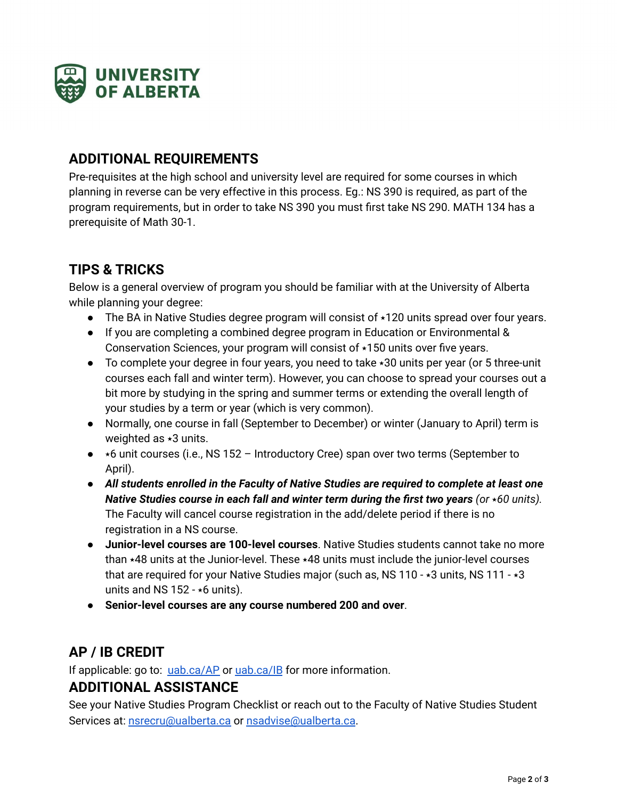

# **ADDITIONAL REQUIREMENTS**

Pre-requisites at the high school and university level are required for some courses in which planning in reverse can be very effective in this process. Eg.: NS 390 is required, as part of the program requirements, but in order to take NS 390 you must first take NS 290. MATH 134 has a prerequisite of Math 30-1.

# **TIPS & TRICKS**

Below is a general overview of program you should be familiar with at the University of Alberta while planning your degree:

- The BA in Native Studies degree program will consist of  $\star$ 120 units spread over four years.
- If you are completing a combined degree program in Education or Environmental & Conservation Sciences, your program will consist of  $\star$ 150 units over five years.
- To complete your degree in four years, you need to take  $\star$ 30 units per year (or 5 three-unit courses each fall and winter term). However, you can choose to spread your courses out a bit more by studying in the spring and summer terms or extending the overall length of your studies by a term or year (which is very common).
- Normally, one course in fall (September to December) or winter (January to April) term is weighted as  $\star$ 3 units.
- $\bullet\quad$   $\star$ 6 unit courses (i.e., NS 152 Introductory Cree) span over two terms (September to April).
- *All students enrolled in the Faculty of Native Studies are required to complete at least one Native Studies course in each fall and winter <i>term during the first two years (or*  $*60$  *units).* The Faculty will cancel course registration in the add/delete period if there is no registration in a NS course.
- **Junior-level courses are 100-level courses**. Native Studies students cannot take no more than  $\star$ 48 units at the Junior-level. These  $\star$ 48 units must include the junior-level courses that are required for your Native Studies major (such as, NS 110 -  $*3$  units, NS 111 -  $*3$ units and NS 152 -  $\star$ 6 units).
- **Senior-level courses are any course numbered 200 and over**.

# **AP / IB CREDIT**

If applicable: go to: [uab.ca/AP](https://www.ualberta.ca/admissions/undergraduate/resources/ap-students/advanced-standing-ap-courses.html?) or [uab.ca/IB](https://www.ualberta.ca/admissions/undergraduate/resources/ib-students/index.html?) for more information. **ADDITIONAL ASSISTANCE**

See your Native Studies Program Checklist or reach out to the Faculty of Native Studies Student Services at: [nsrecru@ualberta.ca](mailto:nsrecru@ualberta.ca) or [nsadvise@ualberta.ca](mailto:nsadvise@ualberta.ca).